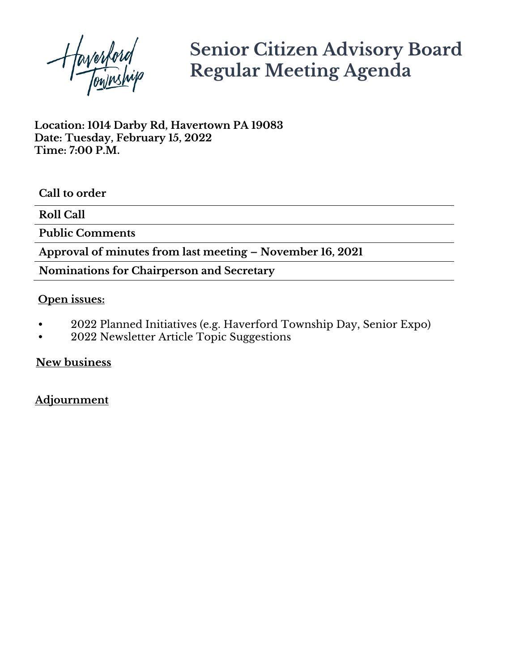Haverford

# **Senior Citizen Advisory Board Regular Meeting Agenda**

**Location: 1014 Darby Rd, Havertown PA 19083 Date: Tuesday, February 15, 2022 Time: 7:00 P.M.**

**Call to order**

**Roll Call**

**Public Comments**

**Approval of minutes from last meeting – November 16, 2021**

**Nominations for Chairperson and Secretary**

### **Open issues:**

- 2022 Planned Initiatives (e.g. Haverford Township Day, Senior Expo)
- 2022 Newsletter Article Topic Suggestions

**New business**

### **Adjournment**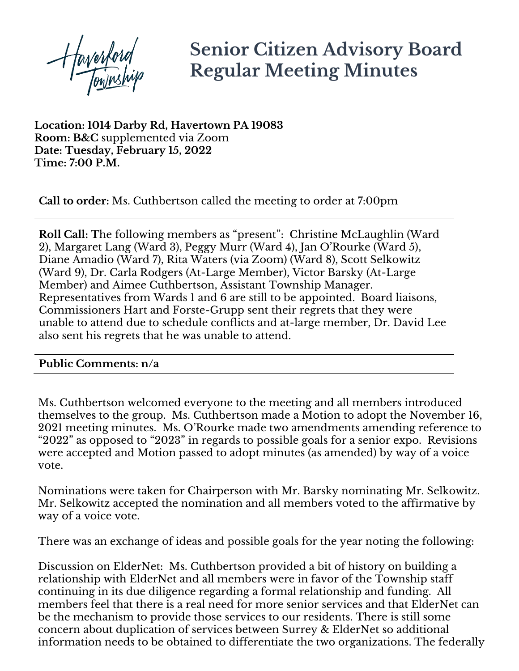Haverford

## **Senior Citizen Advisory Board Regular Meeting Minutes**

**Location: 1014 Darby Rd, Havertown PA 19083 Room: B&C** supplemented via Zoom **Date: Tuesday, February 15, 2022 Time: 7:00 P.M.**

**Call to order:** Ms. Cuthbertson called the meeting to order at 7:00pm

**Roll Call: T**he following members as "present": Christine McLaughlin (Ward 2), Margaret Lang (Ward 3), Peggy Murr (Ward 4), Jan O'Rourke (Ward 5), Diane Amadio (Ward 7), Rita Waters (via Zoom) (Ward 8), Scott Selkowitz (Ward 9), Dr. Carla Rodgers (At-Large Member), Victor Barsky (At-Large Member) and Aimee Cuthbertson, Assistant Township Manager. Representatives from Wards 1 and 6 are still to be appointed. Board liaisons, Commissioners Hart and Forste-Grupp sent their regrets that they were unable to attend due to schedule conflicts and at-large member, Dr. David Lee also sent his regrets that he was unable to attend.

#### **Public Comments: n/a**

Ms. Cuthbertson welcomed everyone to the meeting and all members introduced themselves to the group. Ms. Cuthbertson made a Motion to adopt the November 16, 2021 meeting minutes. Ms. O'Rourke made two amendments amending reference to "2022" as opposed to "2023" in regards to possible goals for a senior expo. Revisions were accepted and Motion passed to adopt minutes (as amended) by way of a voice vote.

Nominations were taken for Chairperson with Mr. Barsky nominating Mr. Selkowitz. Mr. Selkowitz accepted the nomination and all members voted to the affirmative by way of a voice vote.

There was an exchange of ideas and possible goals for the year noting the following:

Discussion on ElderNet: Ms. Cuthbertson provided a bit of history on building a relationship with ElderNet and all members were in favor of the Township staff continuing in its due diligence regarding a formal relationship and funding. All members feel that there is a real need for more senior services and that ElderNet can be the mechanism to provide those services to our residents. There is still some concern about duplication of services between Surrey & ElderNet so additional information needs to be obtained to differentiate the two organizations. The federally